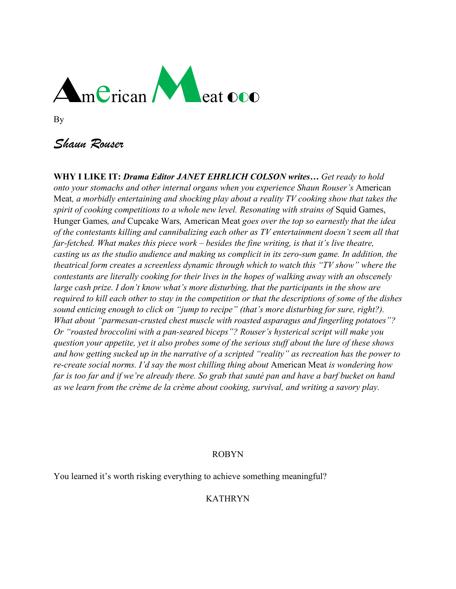

By

# *Shaun Rouser*

**WHY I LIKE IT:** *Drama Editor JANET EHRLICH COLSON writes… Get ready to hold onto your stomachs and other internal organs when you experience Shaun Rouser's* American Meat*, a morbidly entertaining and shocking play about a reality TV cooking show that takes the spirit of cooking competitions to a whole new level. Resonating with strains of Squid Games,* Hunger Games*, and* Cupcake Wars*,* American Meat *goes over the top so earnestly that the idea of the contestants killing and cannibalizing each other as TV entertainment doesn't seem all that far-fetched. What makes this piece work – besides the fine writing, is that it's live theatre, casting us as the studio audience and making us complicit in its zero-sum game. In addition, the theatrical form creates a screenless dynamic through which to watch this "TV show" where the contestants are literally cooking for their lives in the hopes of walking away with an obscenely large cash prize. I don't know what's more disturbing, that the participants in the show are required to kill each other to stay in the competition or that the descriptions of some of the dishes sound enticing enough to click on "jump to recipe" (that's more disturbing for sure, right?). What about "parmesan-crusted chest muscle with roasted asparagus and fingerling potatoes"? Or "roasted broccolini with a pan-seared biceps"? Rouser's hysterical script will make you question your appetite, yet it also probes some of the serious stuff about the lure of these shows and how getting sucked up in the narrative of a scripted "reality" as recreation has the power to re-create social norms. I'd say the most chilling thing about* American Meat *is wondering how far is too far and if we're already there. So grab that sauté pan and have a barf bucket on hand as we learn from the crème de la crème about cooking, survival, and writing a savory play.* 

### ROBYN

You learned it's worth risking everything to achieve something meaningful?

# KATHRYN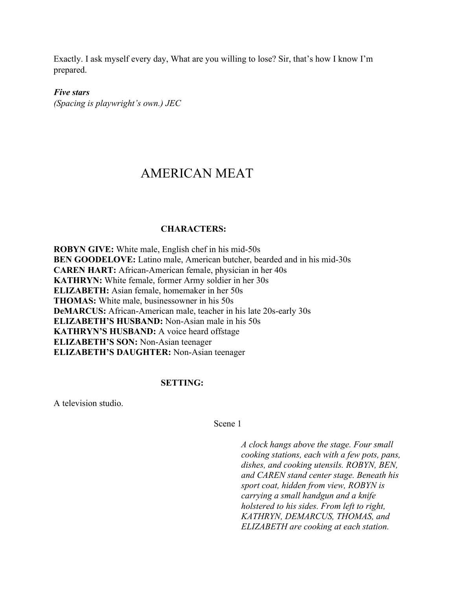Exactly. I ask myself every day, What are you willing to lose? Sir, that's how I know I'm prepared.

### *Five stars*

*(Spacing is playwright's own.) JEC*

# AMERICAN MEAT

# **CHARACTERS:**

**ROBYN GIVE:** White male, English chef in his mid-50s **BEN GOODELOVE:** Latino male, American butcher, bearded and in his mid-30s **CAREN HART:** African-American female, physician in her 40s **KATHRYN:** White female, former Army soldier in her 30s **ELIZABETH:** Asian female, homemaker in her 50s **THOMAS:** White male, businessowner in his 50s **DeMARCUS:** African-American male, teacher in his late 20s-early 30s **ELIZABETH'S HUSBAND:** Non-Asian male in his 50s **KATHRYN'S HUSBAND:** A voice heard offstage **ELIZABETH'S SON:** Non-Asian teenager **ELIZABETH'S DAUGHTER:** Non-Asian teenager

### **SETTING:**

A television studio.

Scene 1

*A clock hangs above the stage. Four small cooking stations, each with a few pots, pans, dishes, and cooking utensils. ROBYN, BEN, and CAREN stand center stage. Beneath his sport coat, hidden from view, ROBYN is carrying a small handgun and a knife holstered to his sides. From left to right, KATHRYN, DEMARCUS, THOMAS, and ELIZABETH are cooking at each station.*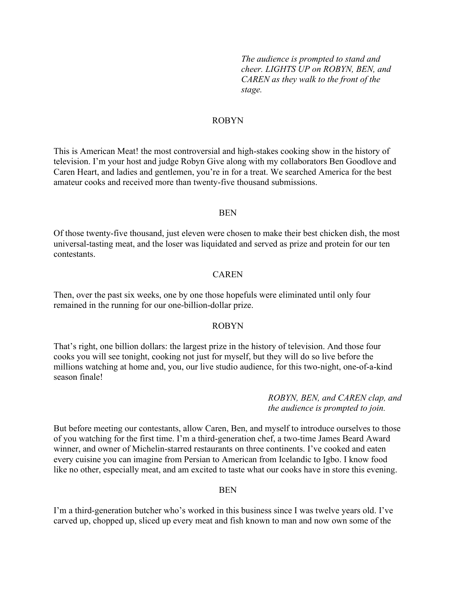*The audience is prompted to stand and cheer. LIGHTS UP on ROBYN, BEN, and CAREN as they walk to the front of the stage.*

#### ROBYN

This is American Meat! the most controversial and high-stakes cooking show in the history of television. I'm your host and judge Robyn Give along with my collaborators Ben Goodlove and Caren Heart, and ladies and gentlemen, you're in for a treat. We searched America for the best amateur cooks and received more than twenty-five thousand submissions.

#### **BEN**

Of those twenty-five thousand, just eleven were chosen to make their best chicken dish, the most universal-tasting meat, and the loser was liquidated and served as prize and protein for our ten contestants.

#### CAREN

Then, over the past six weeks, one by one those hopefuls were eliminated until only four remained in the running for our one-billion-dollar prize.

#### ROBYN

That's right, one billion dollars: the largest prize in the history of television. And those four cooks you will see tonight, cooking not just for myself, but they will do so live before the millions watching at home and, you, our live studio audience, for this two-night, one-of-a-kind season finale!

> *ROBYN, BEN, and CAREN clap, and the audience is prompted to join.*

But before meeting our contestants, allow Caren, Ben, and myself to introduce ourselves to those of you watching for the first time. I'm a third-generation chef, a two-time James Beard Award winner, and owner of Michelin-starred restaurants on three continents. I've cooked and eaten every cuisine you can imagine from Persian to American from Icelandic to Igbo. I know food like no other, especially meat, and am excited to taste what our cooks have in store this evening.

#### BEN

I'm a third-generation butcher who's worked in this business since I was twelve years old. I've carved up, chopped up, sliced up every meat and fish known to man and now own some of the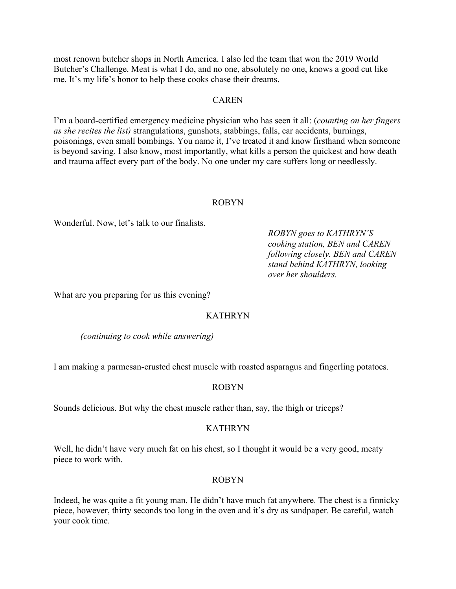most renown butcher shops in North America. I also led the team that won the 2019 World Butcher's Challenge. Meat is what I do, and no one, absolutely no one, knows a good cut like me. It's my life's honor to help these cooks chase their dreams.

#### CAREN

I'm a board-certified emergency medicine physician who has seen it all: (*counting on her fingers as she recites the list)* strangulations, gunshots, stabbings, falls, car accidents, burnings, poisonings, even small bombings. You name it, I've treated it and know firsthand when someone is beyond saving. I also know, most importantly, what kills a person the quickest and how death and trauma affect every part of the body. No one under my care suffers long or needlessly.

#### ROBYN

Wonderful. Now, let's talk to our finalists.

*ROBYN goes to KATHRYN'S cooking station, BEN and CAREN following closely. BEN and CAREN stand behind KATHRYN, looking over her shoulders.*

What are you preparing for us this evening?

### KATHRYN

*(continuing to cook while answering)*

I am making a parmesan-crusted chest muscle with roasted asparagus and fingerling potatoes.

#### ROBYN

Sounds delicious. But why the chest muscle rather than, say, the thigh or triceps?

#### **KATHRYN**

Well, he didn't have very much fat on his chest, so I thought it would be a very good, meaty piece to work with.

#### ROBYN

Indeed, he was quite a fit young man. He didn't have much fat anywhere. The chest is a finnicky piece, however, thirty seconds too long in the oven and it's dry as sandpaper. Be careful, watch your cook time.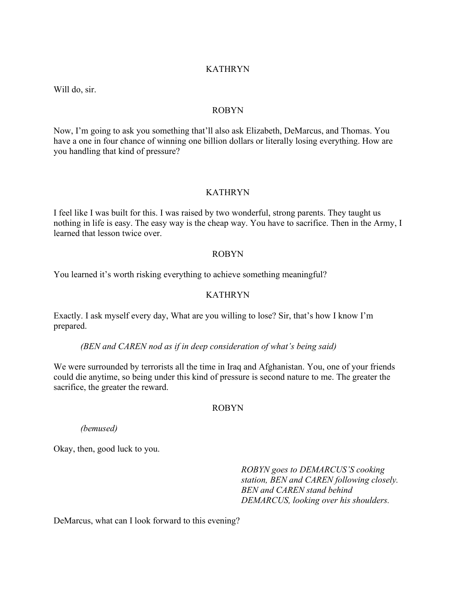### **KATHRYN**

Will do, sir.

#### ROBYN

Now, I'm going to ask you something that'll also ask Elizabeth, DeMarcus, and Thomas. You have a one in four chance of winning one billion dollars or literally losing everything. How are you handling that kind of pressure?

### KATHRYN

I feel like I was built for this. I was raised by two wonderful, strong parents. They taught us nothing in life is easy. The easy way is the cheap way. You have to sacrifice. Then in the Army, I learned that lesson twice over.

### ROBYN

You learned it's worth risking everything to achieve something meaningful?

### KATHRYN

Exactly. I ask myself every day, What are you willing to lose? Sir, that's how I know I'm prepared.

#### *(BEN and CAREN nod as if in deep consideration of what's being said)*

We were surrounded by terrorists all the time in Iraq and Afghanistan. You, one of your friends could die anytime, so being under this kind of pressure is second nature to me. The greater the sacrifice, the greater the reward.

#### ROBYN

*(bemused)*

Okay, then, good luck to you.

*ROBYN goes to DEMARCUS'S cooking station, BEN and CAREN following closely. BEN and CAREN stand behind DEMARCUS, looking over his shoulders.*

DeMarcus, what can I look forward to this evening?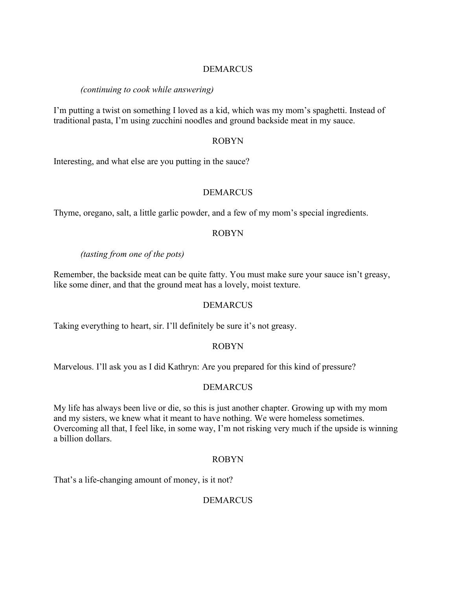# DEMARCUS

### *(continuing to cook while answering)*

I'm putting a twist on something I loved as a kid, which was my mom's spaghetti. Instead of traditional pasta, I'm using zucchini noodles and ground backside meat in my sauce.

# ROBYN

Interesting, and what else are you putting in the sauce?

### DEMARCUS

Thyme, oregano, salt, a little garlic powder, and a few of my mom's special ingredients.

### ROBYN

*(tasting from one of the pots)*

Remember, the backside meat can be quite fatty. You must make sure your sauce isn't greasy, like some diner, and that the ground meat has a lovely, moist texture.

#### DEMARCUS

Taking everything to heart, sir. I'll definitely be sure it's not greasy.

#### ROBYN

Marvelous. I'll ask you as I did Kathryn: Are you prepared for this kind of pressure?

#### **DEMARCUS**

My life has always been live or die, so this is just another chapter. Growing up with my mom and my sisters, we knew what it meant to have nothing. We were homeless sometimes. Overcoming all that, I feel like, in some way, I'm not risking very much if the upside is winning a billion dollars.

### ROBYN

That's a life-changing amount of money, is it not?

### DEMARCUS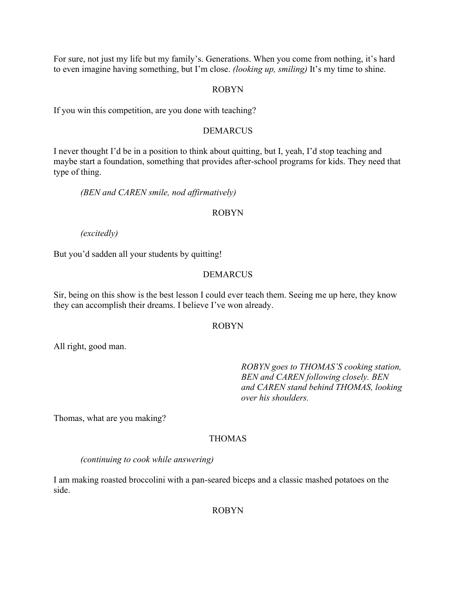For sure, not just my life but my family's. Generations. When you come from nothing, it's hard to even imagine having something, but I'm close. *(looking up, smiling)* It's my time to shine.

#### ROBYN

If you win this competition, are you done with teaching?

### DEMARCUS

I never thought I'd be in a position to think about quitting, but I, yeah, I'd stop teaching and maybe start a foundation, something that provides after-school programs for kids. They need that type of thing.

*(BEN and CAREN smile, nod affirmatively)*

### ROBYN

*(excitedly)*

But you'd sadden all your students by quitting!

### DEMARCUS

Sir, being on this show is the best lesson I could ever teach them. Seeing me up here, they know they can accomplish their dreams. I believe I've won already.

#### ROBYN

All right, good man.

*ROBYN goes to THOMAS'S cooking station, BEN and CAREN following closely. BEN and CAREN stand behind THOMAS, looking over his shoulders.*

Thomas, what are you making?

### THOMAS

*(continuing to cook while answering)*

I am making roasted broccolini with a pan-seared biceps and a classic mashed potatoes on the side.

ROBYN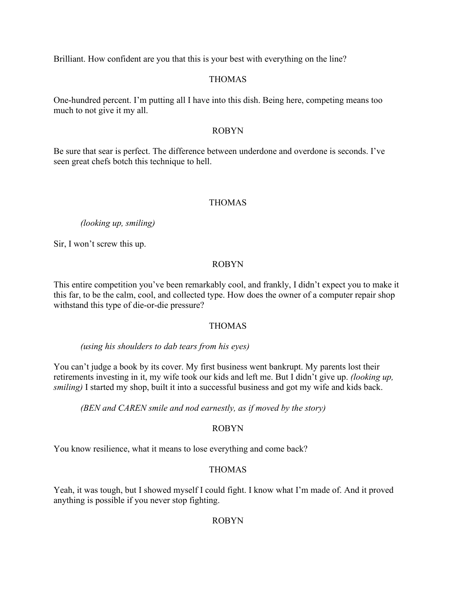Brilliant. How confident are you that this is your best with everything on the line?

# THOMAS

One-hundred percent. I'm putting all I have into this dish. Being here, competing means too much to not give it my all.

### ROBYN

Be sure that sear is perfect. The difference between underdone and overdone is seconds. I've seen great chefs botch this technique to hell.

### THOMAS

### *(looking up, smiling)*

Sir, I won't screw this up.

### ROBYN

This entire competition you've been remarkably cool, and frankly, I didn't expect you to make it this far, to be the calm, cool, and collected type. How does the owner of a computer repair shop withstand this type of die-or-die pressure?

### THOMAS

*(using his shoulders to dab tears from his eyes)*

You can't judge a book by its cover. My first business went bankrupt. My parents lost their retirements investing in it, my wife took our kids and left me. But I didn't give up. *(looking up, smiling)* I started my shop, built it into a successful business and got my wife and kids back.

*(BEN and CAREN smile and nod earnestly, as if moved by the story)*

### ROBYN

You know resilience, what it means to lose everything and come back?

### THOMAS

Yeah, it was tough, but I showed myself I could fight. I know what I'm made of. And it proved anything is possible if you never stop fighting.

### ROBYN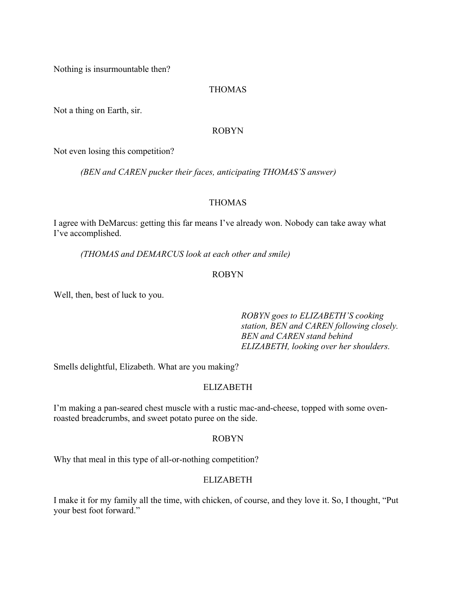Nothing is insurmountable then?

### THOMAS

Not a thing on Earth, sir.

### ROBYN

Not even losing this competition?

*(BEN and CAREN pucker their faces, anticipating THOMAS'S answer)*

### THOMAS

I agree with DeMarcus: getting this far means I've already won. Nobody can take away what I've accomplished.

*(THOMAS and DEMARCUS look at each other and smile)*

### ROBYN

Well, then, best of luck to you.

# *ROBYN goes to ELIZABETH'S cooking station, BEN and CAREN following closely. BEN and CAREN stand behind ELIZABETH, looking over her shoulders.*

Smells delightful, Elizabeth. What are you making?

### **ELIZABETH**

I'm making a pan-seared chest muscle with a rustic mac-and-cheese, topped with some ovenroasted breadcrumbs, and sweet potato puree on the side.

### ROBYN

Why that meal in this type of all-or-nothing competition?

# ELIZABETH

I make it for my family all the time, with chicken, of course, and they love it. So, I thought, "Put your best foot forward."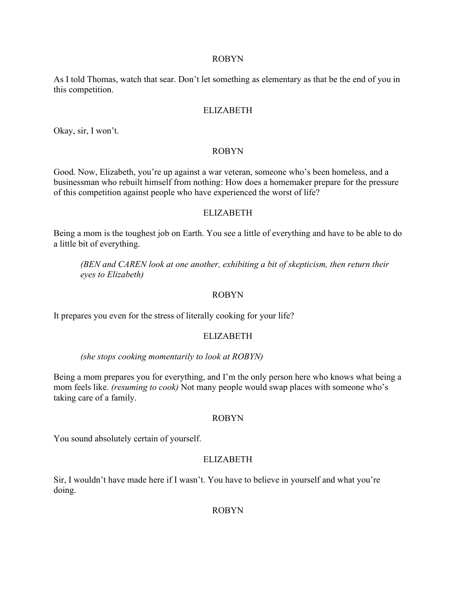#### ROBYN

As I told Thomas, watch that sear. Don't let something as elementary as that be the end of you in this competition.

#### ELIZABETH

Okay, sir, I won't.

#### ROBYN

Good. Now, Elizabeth, you're up against a war veteran, someone who's been homeless, and a businessman who rebuilt himself from nothing: How does a homemaker prepare for the pressure of this competition against people who have experienced the worst of life?

### **ELIZABETH**

Being a mom is the toughest job on Earth. You see a little of everything and have to be able to do a little bit of everything.

*(BEN and CAREN look at one another, exhibiting a bit of skepticism, then return their eyes to Elizabeth)*

#### ROBYN

It prepares you even for the stress of literally cooking for your life?

#### ELIZABETH

*(she stops cooking momentarily to look at ROBYN)*

Being a mom prepares you for everything, and I'm the only person here who knows what being a mom feels like. *(resuming to cook)* Not many people would swap places with someone who's taking care of a family.

#### ROBYN

You sound absolutely certain of yourself.

### ELIZABETH

Sir, I wouldn't have made here if I wasn't. You have to believe in yourself and what you're doing.

ROBYN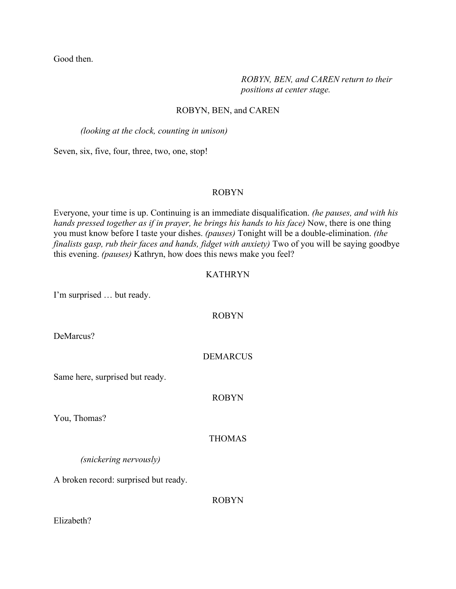Good then.

# *ROBYN, BEN, and CAREN return to their positions at center stage.*

# ROBYN, BEN, and CAREN

### *(looking at the clock, counting in unison)*

Seven, six, five, four, three, two, one, stop!

### ROBYN

Everyone, your time is up. Continuing is an immediate disqualification. *(he pauses, and with his hands pressed together as if in prayer, he brings his hands to his face)* Now, there is one thing you must know before I taste your dishes. *(pauses)* Tonight will be a double-elimination. *(the finalists gasp, rub their faces and hands, fidget with anxiety)* Two of you will be saying goodbye this evening. *(pauses)* Kathryn, how does this news make you feel?

# KATHRYN

I'm surprised … but ready.

### ROBYN

DeMarcus?

# DEMARCUS

Same here, surprised but ready.

### ROBYN

You, Thomas?

### THOMAS

*(snickering nervously)*

A broken record: surprised but ready.

ROBYN

Elizabeth?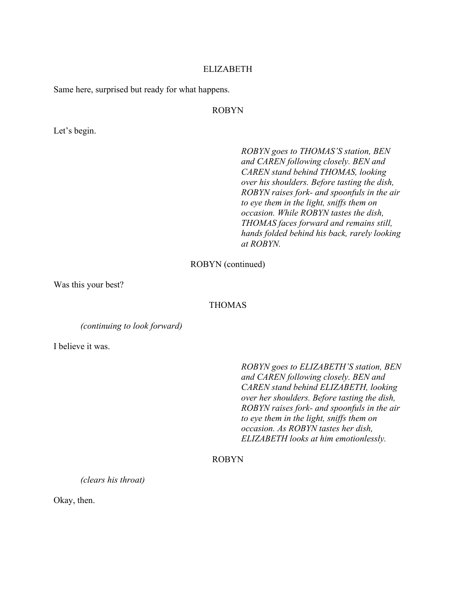### ELIZABETH

Same here, surprised but ready for what happens.

## ROBYN

Let's begin.

*ROBYN goes to THOMAS'S station, BEN and CAREN following closely. BEN and CAREN stand behind THOMAS, looking over his shoulders. Before tasting the dish, ROBYN raises fork- and spoonfuls in the air to eye them in the light, sniffs them on occasion. While ROBYN tastes the dish, THOMAS faces forward and remains still, hands folded behind his back, rarely looking at ROBYN.*

ROBYN (continued)

Was this your best?

#### THOMAS

*(continuing to look forward)*

I believe it was.

*ROBYN goes to ELIZABETH'S station, BEN and CAREN following closely. BEN and CAREN stand behind ELIZABETH, looking over her shoulders. Before tasting the dish, ROBYN raises fork- and spoonfuls in the air to eye them in the light, sniffs them on occasion. As ROBYN tastes her dish, ELIZABETH looks at him emotionlessly.*

# ROBYN

*(clears his throat)*

Okay, then.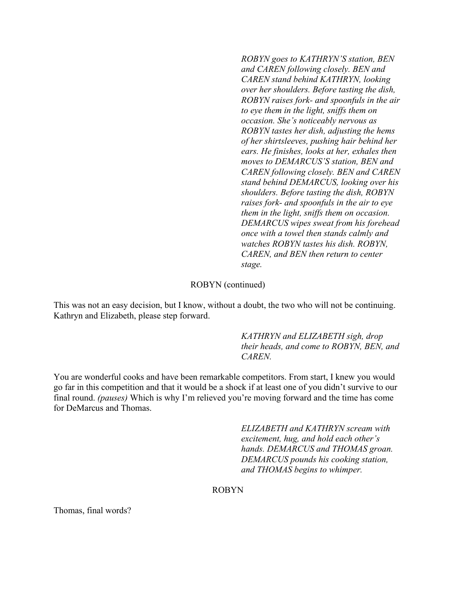*ROBYN goes to KATHRYN'S station, BEN and CAREN following closely. BEN and CAREN stand behind KATHRYN, looking over her shoulders. Before tasting the dish, ROBYN raises fork- and spoonfuls in the air to eye them in the light, sniffs them on occasion. She's noticeably nervous as ROBYN tastes her dish, adjusting the hems of her shirtsleeves, pushing hair behind her ears. He finishes, looks at her, exhales then moves to DEMARCUS'S station, BEN and CAREN following closely. BEN and CAREN stand behind DEMARCUS, looking over his shoulders. Before tasting the dish, ROBYN raises fork- and spoonfuls in the air to eye them in the light, sniffs them on occasion. DEMARCUS wipes sweat from his forehead once with a towel then stands calmly and watches ROBYN tastes his dish. ROBYN, CAREN, and BEN then return to center stage.*

#### ROBYN (continued)

This was not an easy decision, but I know, without a doubt, the two who will not be continuing. Kathryn and Elizabeth, please step forward.

> *KATHRYN and ELIZABETH sigh, drop their heads, and come to ROBYN, BEN, and CAREN.*

You are wonderful cooks and have been remarkable competitors. From start, I knew you would go far in this competition and that it would be a shock if at least one of you didn't survive to our final round. *(pauses)* Which is why I'm relieved you're moving forward and the time has come for DeMarcus and Thomas.

> *ELIZABETH and KATHRYN scream with excitement, hug, and hold each other's hands. DEMARCUS and THOMAS groan. DEMARCUS pounds his cooking station, and THOMAS begins to whimper.*

#### ROBYN

Thomas, final words?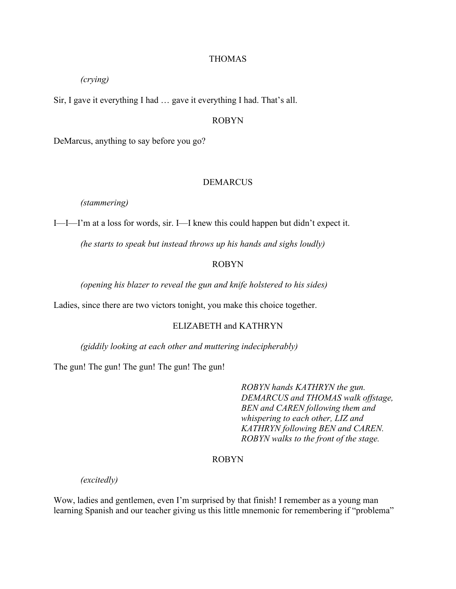#### THOMAS

#### *(crying)*

Sir, I gave it everything I had … gave it everything I had. That's all.

#### ROBYN

DeMarcus, anything to say before you go?

### DEMARCUS

*(stammering)*

I—I—I'm at a loss for words, sir. I—I knew this could happen but didn't expect it.

*(he starts to speak but instead throws up his hands and sighs loudly)*

## ROBYN

*(opening his blazer to reveal the gun and knife holstered to his sides)*

Ladies, since there are two victors tonight, you make this choice together.

#### ELIZABETH and KATHRYN

*(giddily looking at each other and muttering indecipherably)*

The gun! The gun! The gun! The gun! The gun!

*ROBYN hands KATHRYN the gun. DEMARCUS and THOMAS walk offstage, BEN and CAREN following them and whispering to each other, LIZ and KATHRYN following BEN and CAREN. ROBYN walks to the front of the stage.*

#### ROBYN

*(excitedly)*

Wow, ladies and gentlemen, even I'm surprised by that finish! I remember as a young man learning Spanish and our teacher giving us this little mnemonic for remembering if "problema"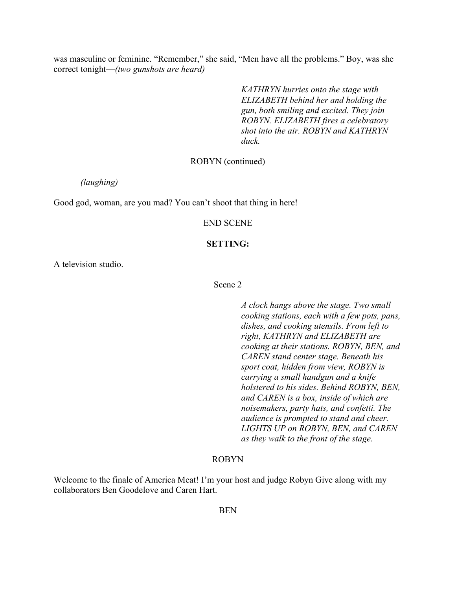was masculine or feminine. "Remember," she said, "Men have all the problems." Boy, was she correct tonight—*(two gunshots are heard)*

> *KATHRYN hurries onto the stage with ELIZABETH behind her and holding the gun, both smiling and excited. They join ROBYN. ELIZABETH fires a celebratory shot into the air. ROBYN and KATHRYN duck.*

#### ROBYN (continued)

*(laughing)*

Good god, woman, are you mad? You can't shoot that thing in here!

#### END SCENE

### **SETTING:**

A television studio.

Scene 2

*A clock hangs above the stage. Two small cooking stations, each with a few pots, pans, dishes, and cooking utensils. From left to right, KATHRYN and ELIZABETH are cooking at their stations. ROBYN, BEN, and CAREN stand center stage. Beneath his sport coat, hidden from view, ROBYN is carrying a small handgun and a knife holstered to his sides. Behind ROBYN, BEN, and CAREN is a box, inside of which are noisemakers, party hats, and confetti. The audience is prompted to stand and cheer. LIGHTS UP on ROBYN, BEN, and CAREN as they walk to the front of the stage.*

### ROBYN

Welcome to the finale of America Meat! I'm your host and judge Robyn Give along with my collaborators Ben Goodelove and Caren Hart.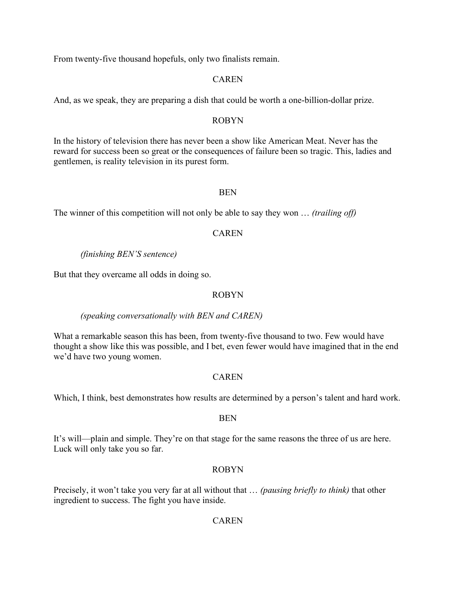From twenty-five thousand hopefuls, only two finalists remain.

# CAREN

And, as we speak, they are preparing a dish that could be worth a one-billion-dollar prize.

### ROBYN

In the history of television there has never been a show like American Meat. Never has the reward for success been so great or the consequences of failure been so tragic. This, ladies and gentlemen, is reality television in its purest form.

### BEN

The winner of this competition will not only be able to say they won … *(trailing off)*

### CAREN

*(finishing BEN'S sentence)*

But that they overcame all odds in doing so.

### ROBYN

*(speaking conversationally with BEN and CAREN)*

What a remarkable season this has been, from twenty-five thousand to two. Few would have thought a show like this was possible, and I bet, even fewer would have imagined that in the end we'd have two young women.

### **CAREN**

Which, I think, best demonstrates how results are determined by a person's talent and hard work.

#### BEN

It's will—plain and simple. They're on that stage for the same reasons the three of us are here. Luck will only take you so far.

### ROBYN

Precisely, it won't take you very far at all without that … *(pausing briefly to think)* that other ingredient to success. The fight you have inside.

### CAREN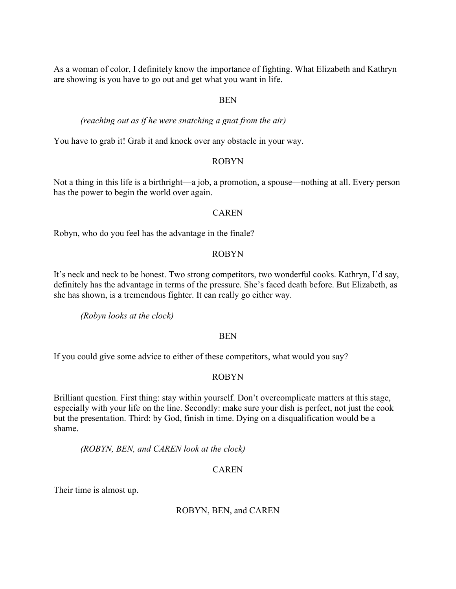As a woman of color, I definitely know the importance of fighting. What Elizabeth and Kathryn are showing is you have to go out and get what you want in life.

#### BEN

#### *(reaching out as if he were snatching a gnat from the air)*

You have to grab it! Grab it and knock over any obstacle in your way.

#### ROBYN

Not a thing in this life is a birthright—a job, a promotion, a spouse—nothing at all. Every person has the power to begin the world over again.

#### CAREN

Robyn, who do you feel has the advantage in the finale?

### ROBYN

It's neck and neck to be honest. Two strong competitors, two wonderful cooks. Kathryn, I'd say, definitely has the advantage in terms of the pressure. She's faced death before. But Elizabeth, as she has shown, is a tremendous fighter. It can really go either way.

*(Robyn looks at the clock)*

#### BEN

If you could give some advice to either of these competitors, what would you say?

### ROBYN

Brilliant question. First thing: stay within yourself. Don't overcomplicate matters at this stage, especially with your life on the line. Secondly: make sure your dish is perfect, not just the cook but the presentation. Third: by God, finish in time. Dying on a disqualification would be a shame.

*(ROBYN, BEN, and CAREN look at the clock)*

#### CAREN

Their time is almost up.

#### ROBYN, BEN, and CAREN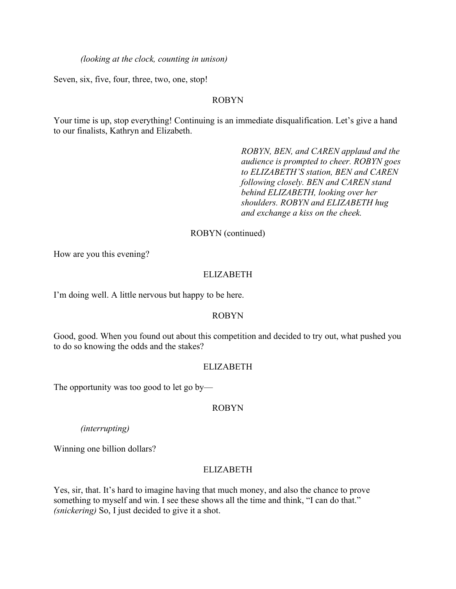*(looking at the clock, counting in unison)*

Seven, six, five, four, three, two, one, stop!

### ROBYN

Your time is up, stop everything! Continuing is an immediate disqualification. Let's give a hand to our finalists, Kathryn and Elizabeth.

> *ROBYN, BEN, and CAREN applaud and the audience is prompted to cheer. ROBYN goes to ELIZABETH'S station, BEN and CAREN following closely. BEN and CAREN stand behind ELIZABETH, looking over her shoulders. ROBYN and ELIZABETH hug and exchange a kiss on the cheek.*

### ROBYN (continued)

How are you this evening?

### ELIZABETH

I'm doing well. A little nervous but happy to be here.

### ROBYN

Good, good. When you found out about this competition and decided to try out, what pushed you to do so knowing the odds and the stakes?

#### ELIZABETH

The opportunity was too good to let go by—

#### ROBYN

*(interrupting)*

Winning one billion dollars?

#### ELIZABETH

Yes, sir, that. It's hard to imagine having that much money, and also the chance to prove something to myself and win. I see these shows all the time and think, "I can do that." *(snickering)* So, I just decided to give it a shot.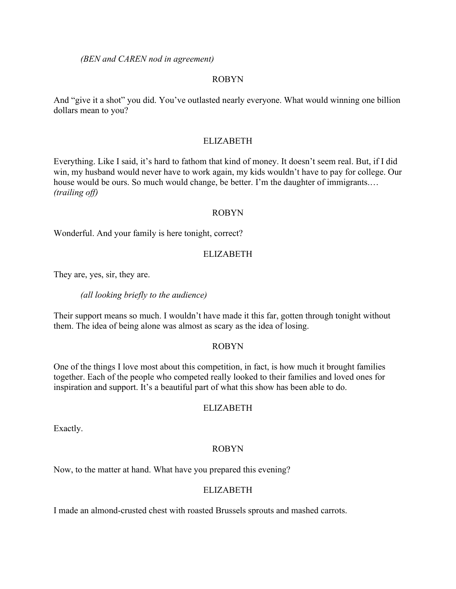*(BEN and CAREN nod in agreement)*

# ROBYN

And "give it a shot" you did. You've outlasted nearly everyone. What would winning one billion dollars mean to you?

# ELIZABETH

Everything. Like I said, it's hard to fathom that kind of money. It doesn't seem real. But, if I did win, my husband would never have to work again, my kids wouldn't have to pay for college. Our house would be ours. So much would change, be better. I'm the daughter of immigrants.… *(trailing off)*

### ROBYN

Wonderful. And your family is here tonight, correct?

### ELIZABETH

They are, yes, sir, they are.

*(all looking briefly to the audience)*

Their support means so much. I wouldn't have made it this far, gotten through tonight without them. The idea of being alone was almost as scary as the idea of losing.

### ROBYN

One of the things I love most about this competition, in fact, is how much it brought families together. Each of the people who competed really looked to their families and loved ones for inspiration and support. It's a beautiful part of what this show has been able to do.

#### ELIZABETH

Exactly.

### ROBYN

Now, to the matter at hand. What have you prepared this evening?

### ELIZABETH

I made an almond-crusted chest with roasted Brussels sprouts and mashed carrots.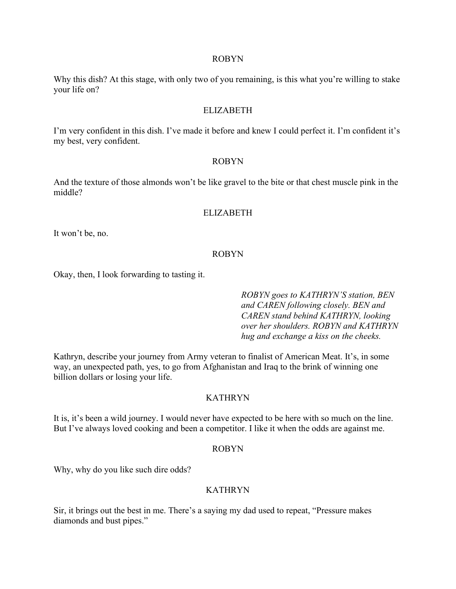#### ROBYN

Why this dish? At this stage, with only two of you remaining, is this what you're willing to stake your life on?

#### ELIZABETH

I'm very confident in this dish. I've made it before and knew I could perfect it. I'm confident it's my best, very confident.

#### ROBYN

And the texture of those almonds won't be like gravel to the bite or that chest muscle pink in the middle?

### ELIZABETH

It won't be, no.

### ROBYN

Okay, then, I look forwarding to tasting it.

*ROBYN goes to KATHRYN'S station, BEN and CAREN following closely. BEN and CAREN stand behind KATHRYN, looking over her shoulders. ROBYN and KATHRYN hug and exchange a kiss on the cheeks.*

Kathryn, describe your journey from Army veteran to finalist of American Meat. It's, in some way, an unexpected path, yes, to go from Afghanistan and Iraq to the brink of winning one billion dollars or losing your life.

### KATHRYN

It is, it's been a wild journey. I would never have expected to be here with so much on the line. But I've always loved cooking and been a competitor. I like it when the odds are against me.

#### ROBYN

Why, why do you like such dire odds?

### KATHRYN

Sir, it brings out the best in me. There's a saying my dad used to repeat, "Pressure makes diamonds and bust pipes."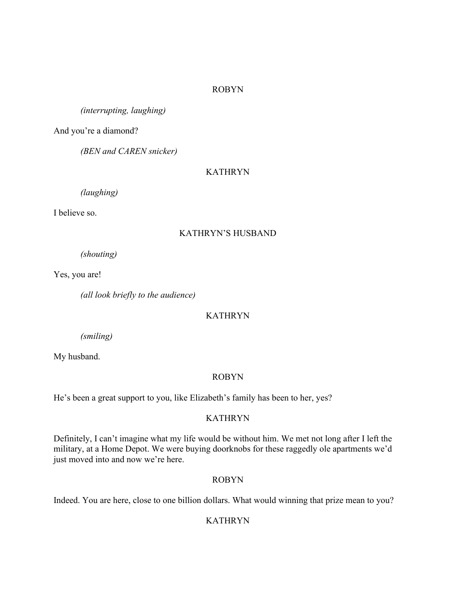### ROBYN

*(interrupting, laughing)*

And you're a diamond?

*(BEN and CAREN snicker)*

# KATHRYN

*(laughing)*

I believe so.

### KATHRYN'S HUSBAND

*(shouting)*

Yes, you are!

*(all look briefly to the audience)*

# KATHRYN

*(smiling)*

My husband.

### ROBYN

He's been a great support to you, like Elizabeth's family has been to her, yes?

# KATHRYN

Definitely, I can't imagine what my life would be without him. We met not long after I left the military, at a Home Depot. We were buying doorknobs for these raggedly ole apartments we'd just moved into and now we're here.

# ROBYN

Indeed. You are here, close to one billion dollars. What would winning that prize mean to you?

# KATHRYN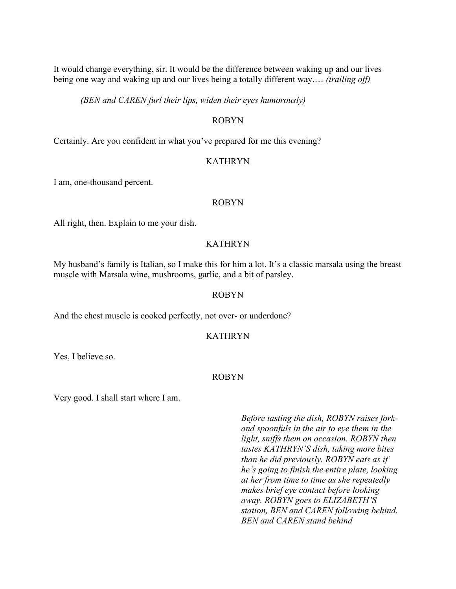It would change everything, sir. It would be the difference between waking up and our lives being one way and waking up and our lives being a totally different way.… *(trailing off)*

*(BEN and CAREN furl their lips, widen their eyes humorously)*

#### ROBYN

Certainly. Are you confident in what you've prepared for me this evening?

#### **KATHRYN**

I am, one-thousand percent.

#### ROBYN

All right, then. Explain to me your dish.

#### KATHRYN

My husband's family is Italian, so I make this for him a lot. It's a classic marsala using the breast muscle with Marsala wine, mushrooms, garlic, and a bit of parsley.

#### ROBYN

And the chest muscle is cooked perfectly, not over- or underdone?

#### **KATHRYN**

Yes, I believe so.

#### ROBYN

Very good. I shall start where I am.

*Before tasting the dish, ROBYN raises forkand spoonfuls in the air to eye them in the light, sniffs them on occasion. ROBYN then tastes KATHRYN'S dish, taking more bites than he did previously. ROBYN eats as if he's going to finish the entire plate, looking at her from time to time as she repeatedly makes brief eye contact before looking away. ROBYN goes to ELIZABETH'S station, BEN and CAREN following behind. BEN and CAREN stand behind*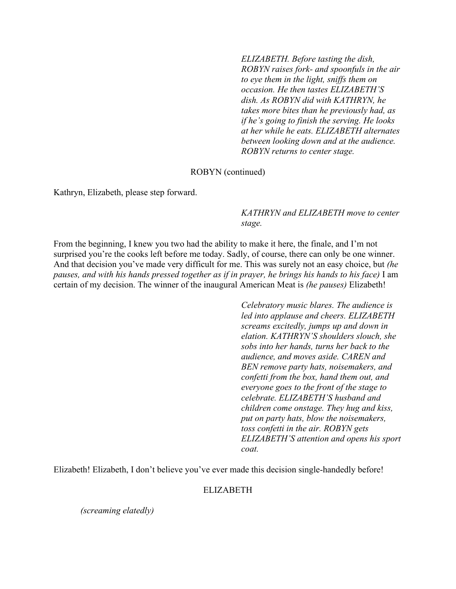*ELIZABETH. Before tasting the dish, ROBYN raises fork- and spoonfuls in the air to eye them in the light, sniffs them on occasion. He then tastes ELIZABETH'S dish. As ROBYN did with KATHRYN, he takes more bites than he previously had, as if he's going to finish the serving. He looks at her while he eats. ELIZABETH alternates between looking down and at the audience. ROBYN returns to center stage.*

#### ROBYN (continued)

Kathryn, Elizabeth, please step forward.

### *KATHRYN and ELIZABETH move to center stage.*

From the beginning, I knew you two had the ability to make it here, the finale, and I'm not surprised you're the cooks left before me today. Sadly, of course, there can only be one winner. And that decision you've made very difficult for me. This was surely not an easy choice, but *(he pauses, and with his hands pressed together as if in prayer, he brings his hands to his face)* I am certain of my decision. The winner of the inaugural American Meat is *(he pauses)* Elizabeth!

> *Celebratory music blares. The audience is led into applause and cheers. ELIZABETH screams excitedly, jumps up and down in elation. KATHRYN'S shoulders slouch, she sobs into her hands, turns her back to the audience, and moves aside. CAREN and BEN remove party hats, noisemakers, and confetti from the box, hand them out, and everyone goes to the front of the stage to celebrate. ELIZABETH'S husband and children come onstage. They hug and kiss, put on party hats, blow the noisemakers, toss confetti in the air. ROBYN gets ELIZABETH'S attention and opens his sport coat.*

Elizabeth! Elizabeth, I don't believe you've ever made this decision single-handedly before!

#### ELIZABETH

*(screaming elatedly)*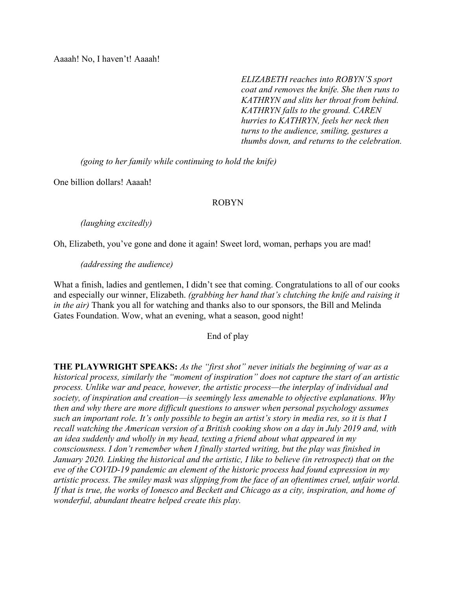*ELIZABETH reaches into ROBYN'S sport coat and removes the knife. She then runs to KATHRYN and slits her throat from behind. KATHRYN falls to the ground. CAREN hurries to KATHRYN, feels her neck then turns to the audience, smiling, gestures a thumbs down, and returns to the celebration.*

*(going to her family while continuing to hold the knife)*

One billion dollars! Aaaah!

### ROBYN

*(laughing excitedly)*

Oh, Elizabeth, you've gone and done it again! Sweet lord, woman, perhaps you are mad!

*(addressing the audience)*

What a finish, ladies and gentlemen, I didn't see that coming. Congratulations to all of our cooks and especially our winner, Elizabeth. *(grabbing her hand that's clutching the knife and raising it in the air)* Thank you all for watching and thanks also to our sponsors, the Bill and Melinda Gates Foundation. Wow, what an evening, what a season, good night!

End of play

**THE PLAYWRIGHT SPEAKS:** *As the "first shot" never initials the beginning of war as a historical process, similarly the "moment of inspiration" does not capture the start of an artistic process. Unlike war and peace, however, the artistic process—the interplay of individual and society, of inspiration and creation—is seemingly less amenable to objective explanations. Why then and why there are more difficult questions to answer when personal psychology assumes such an important role. It's only possible to begin an artist's story in media res, so it is that I recall watching the American version of a British cooking show on a day in July 2019 and, with an idea suddenly and wholly in my head, texting a friend about what appeared in my consciousness. I don't remember when I finally started writing, but the play was finished in January 2020. Linking the historical and the artistic, I like to believe (in retrospect) that on the eve of the COVID-19 pandemic an element of the historic process had found expression in my artistic process. The smiley mask was slipping from the face of an oftentimes cruel, unfair world. If that is true, the works of Ionesco and Beckett and Chicago as a city, inspiration, and home of wonderful, abundant theatre helped create this play.*